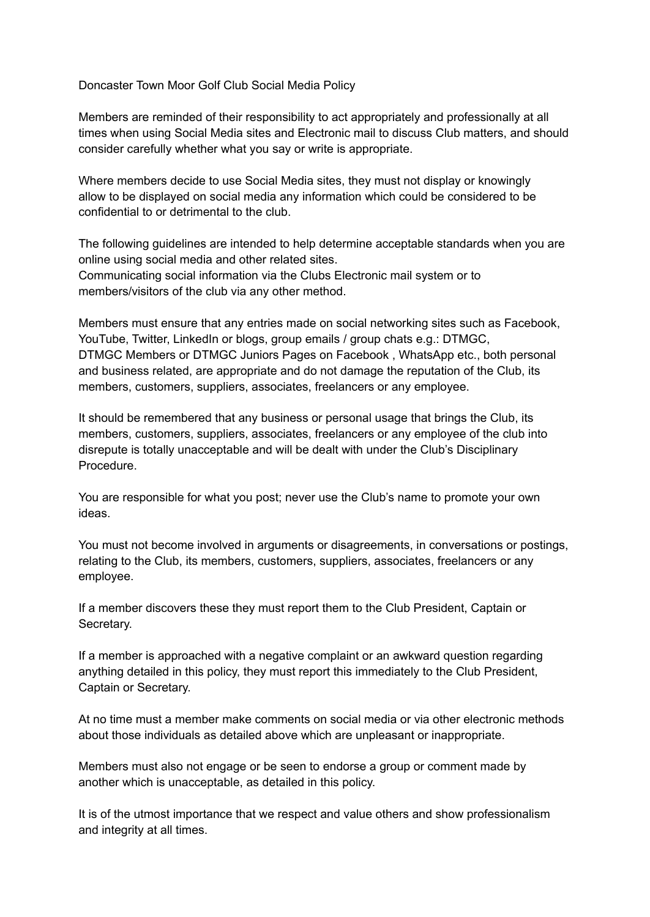Doncaster Town Moor Golf Club Social Media Policy

Members are reminded of their responsibility to act appropriately and professionally at all times when using Social Media sites and Electronic mail to discuss Club matters, and should consider carefully whether what you say or write is appropriate.

Where members decide to use Social Media sites, they must not display or knowingly allow to be displayed on social media any information which could be considered to be confidential to or detrimental to the club.

The following guidelines are intended to help determine acceptable standards when you are online using social media and other related sites. Communicating social information via the Clubs Electronic mail system or to members/visitors of the club via any other method.

Members must ensure that any entries made on social networking sites such as Facebook, YouTube, Twitter, LinkedIn or blogs, group emails / group chats e.g.: DTMGC, DTMGC Members or DTMGC Juniors Pages on Facebook , WhatsApp etc., both personal and business related, are appropriate and do not damage the reputation of the Club, its members, customers, suppliers, associates, freelancers or any employee.

It should be remembered that any business or personal usage that brings the Club, its members, customers, suppliers, associates, freelancers or any employee of the club into disrepute is totally unacceptable and will be dealt with under the Club's Disciplinary Procedure.

You are responsible for what you post; never use the Club's name to promote your own ideas.

You must not become involved in arguments or disagreements, in conversations or postings, relating to the Club, its members, customers, suppliers, associates, freelancers or any employee.

If a member discovers these they must report them to the Club President, Captain or Secretary.

If a member is approached with a negative complaint or an awkward question regarding anything detailed in this policy, they must report this immediately to the Club President, Captain or Secretary.

At no time must a member make comments on social media or via other electronic methods about those individuals as detailed above which are unpleasant or inappropriate.

Members must also not engage or be seen to endorse a group or comment made by another which is unacceptable, as detailed in this policy.

It is of the utmost importance that we respect and value others and show professionalism and integrity at all times.